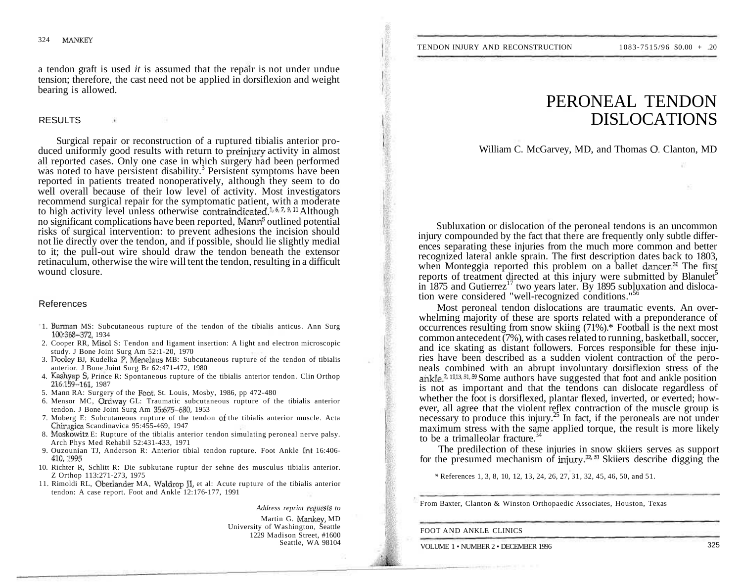a tendon graft is used *it* is assumed that the repair is not under undue tension; therefore, the cast need not be applied in dorsiflexion and weight bearing is allowed.

# RESULTS

Surgical repair or reconstruction of a ruptured tibialis anterior produced uniformly good results with return to preinjury activity in almost all reported cases. Only one case in which surgery had been performed was noted to have persistent disability.<sup>3</sup> Persistent symptoms have been reported in patients treated nonoperatively, although they seem to do well overall because of their low level of activity. Most investigators recommend surgical repair for the symptomatic patient, with a moderate to high activity level unless otherwise contraindicated.<sup>1, 6, 7, 9, 11</sup> Although no significant complications have been reported, Mann<sup>5</sup> outlined potential risks of surgical intervention: to prevent adhesions the incision should not lie directly over the tendon, and if possible, should lie slightly medial to it; the pull-out wire should draw the tendon beneath the extensor retinaculum, otherwise the wire will tent the tendon, resulting in a difficult wound closure.

## References

- 1. Burman MS: Subcutaneous rupture of the tendon of the tibialis anticus. Ann Surg 100:368-372, 1934
- 2. Cooper RR, Misol S: Tendon and ligament insertion: A light and electron microscopic study. J Bone Joint Surg Am 52:1-20, 1970
- 3. Dooley BJ, Kudelka P, Menelaus MB: Subcutaneous rupture of the tendon of tibialis anterior. J Bone Joint Surg Br 62:471-472, 1980
- 4. Kashyap S, Prince R: Spontaneous rupture of the tibialis anterior tendon. Clin Orthop 216:159-161, 1987
- 5. Mann RA: Surgery of the Foot. St. Louis, Mosby, 1986, pp 472-480
- 6. Mensor MC, Ordway GL: Traumatic subcutaneous rupture of the tibialis anterior tendon. J Bone Joint Surg Am 35:675-680, 1953
- 7. Moberg E: Subcutaneous rupture of the tendon of the tibialis anterior muscle. Acta Chirugica Scandinavica 95:455-469, 1947
- 8. Moskowitz E: Rupture of the tibialis anterior tendon simulating peroneal nerve palsy. Arch Phys Med Rehabil 52:431-433, 1971
- 9. Ouzounian TJ, Anderson R: Anterior tibial tendon rupture. Foot Ankle Int 16:406- 410,1995
- 10. Richter R, Schlitt R: Die subkutane ruptur der sehne des musculus tibialis anterior. Z Orthop 113:271-273, 1975
- 11. Rimoldi RL, Oberlander MA, Waldrop JI, et al: Acute rupture of the tibialis anterior tendon: A case report. Foot and Ankle 12:176-177, 1991

*Address reprint requests to* 

Martin G. Mankey, MD University of Washington, Seattle 1229 Madison Street, #1600 Seattle, WA 98104

# PERONEAL TENDON DISLOCATIONS

William C. McGarvey, MD, and Thomas O. Clanton, MD

Subluxation or dislocation of the peroneal tendons is an uncommon injury compounded by the fact that there are frequently only subtle differences separating these injuries from the much more common and better recognized lateral ankle sprain. The first description dates back to 1803, when Monteggia reported this problem on a ballet dancer.<sup>30</sup> The first reports of treatment directed at this injury were submitted by Blanulet<sup>5</sup> in 1875 and Gutierrez<sup>17</sup> two years later. By 1895 subluxation and dislocation were considered "well-recognized conditions."<sup>56</sup>

Most peroneal tendon dislocations are traumatic events. An overwhelming majority of these are sports related with a preponderance of occurrences resulting from snow skiing (71%).\* Football is the next most common antecedent (7%), with cases related to running, basketball, soccer, and ice skating as distant followers. Forces responsible for these injuries have been described as a sudden violent contraction of the peroneals combined with an abrupt involuntary dorsiflexion stress of the ankle.<sup>2, 1113, 51, 59</sup> Some authors have suggested that foot and ankle position is not as important and that the tendons can dislocate regardless of whether the foot is dorsiflexed, plantar flexed, inverted, or everted; however, all agree that the violent reflex contraction of the muscle group is necessary to produce this injury.<sup>25</sup> In fact, if the peroneals are not under maximum stress with the same applied torque, the result is more likely to be a trimalleolar fracture.

The predilection of these injuries in snow skiiers serves as support for the presumed mechanism of injury.<sup>32, 51</sup> Skiiers describe digging the

\* References 1, 3, 8, 10, 12, 13, 24, 26, 27, 31, 32, 45, 46, 50, and 51.

From Baxter, Clanton & Winston Orthopaedic Associates, Houston, Texas

FOOT AND ANKLE CLINICS

VOLUME 1 · NUMBER 2 · DECEMBER 1996 325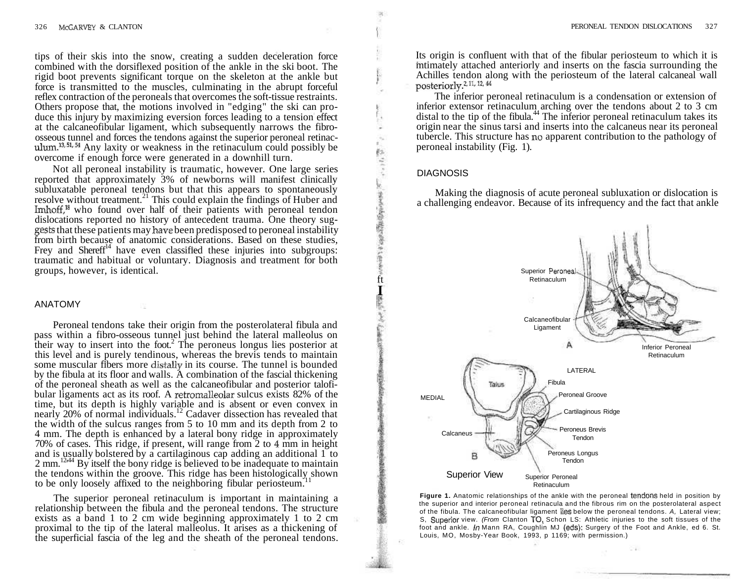tips of their skis into the snow, creating a sudden deceleration force combined with the dorsiflexed position of the ankle in the ski boot. The rigid boot prevents significant torque on the skeleton at the ankle but force is transmitted to the muscles, culminating in the abrupt forceful reflex contraction of the peroneals that overcomes the soft-tissue restraints. Others propose that, the motions involved in "edging" the ski can produce this injury by maximizing eversion forces leading to a tension effect at the calcaneofibular ligament, which subsequently narrows the fibroosseous tunnel and forces the tendons against the superior peroneal retinaculum.<sup>13,51,54</sup> Any laxity or weakness in the retinaculum could possibly be overcome if enough force were generated in a downhill turn.

Not all peroneal instability is traumatic, however. One large series reported that approximately 3% of newborns will manifest clinically subluxatable peroneal tendons but that this appears to spontaneously resolve without treatment.<sup>21</sup> This could explain the findings of Huber and Imhoff,<sup>18</sup> who found over half of their patients with peroneal tendon dislocations reported no history of antecedent trauma. One theory suggests that these patients may have been predisposed to peroneal instability from birth because of anatomic considerations. Based on these studies, Frey and Shereff<sup>14</sup> have even classified these injuries into subgroups: traumatic and habitual or voluntary. Diagnosis and treatment for both groups, however, is identical.

## ANATOMY

Peroneal tendons take their origin from the posterolateral fibula and pass within a fibro-osseous tunnel just behind the lateral malleolus on their way to insert into the foot.<sup>2</sup> The peroneus longus lies posterior at this level and is purely tendinous, whereas the brevis tends to maintain some muscular fibers more distally in its course. The tunnel is bounded by the fibula at its floor and walls. A combination of the fascial thickening of the peroneal sheath as well as the calcaneofibular and posterior talofibular ligaments act as its roof. A retromalleolar sulcus exists 82% of the time, but its depth is highly variable and is absent or even convex in nearly 20% of normal individuals.<sup>12</sup> Cadaver dissection has revealed that the width of the sulcus ranges from 5 to 10 mm and its depth from 2 to 4 mm. The depth is enhanced by a lateral bony ridge in approximately 70% of cases. This ridge, if present, will range from 2 to 4 mm in height and is usually bolstered by a cartilaginous cap adding an additional 1 to 2 mm.<sup>1244</sup> By itself the bony ridge is believed to be inadequate to maintain the tendons within the groove. This ridge has been histologically shown to be only loosely affixed to the neighboring fibular periosteum.<sup>11</sup>

The superior peroneal retinaculum is important in maintaining a relationship between the fibula and the peroneal tendons. The structure exists as a band 1 to 2 cm wide beginning approximately 1 to 2 cm proximal to the tip of the lateral malleolus. It arises as a thickening of the superficial fascia of the leg and the sheath of the peroneal tendons.

Its origin is confluent with that of the fibular periosteum to which it is mtimately attached anteriorly and inserts on the fascia surrounding the Achilles tendon along with the periosteum of the lateral calcaneal wall posteriorly.<sup>2, 11, 12, 44</sup>

The inferior peroneal retinaculum is a condensation or extension of inferior extensor retinaculum arching over the tendons about 2 to 3 cm distal to the tip of the fibula.<sup>44</sup> The inferior peroneal retinaculum takes its origin near the sinus tarsi and inserts into the calcaneus near its peroneal tubercle. This structure has no apparent contribution to the pathology of peroneal instability (Fig. 1).

#### DIAGNOSIS

ft

い、第三の客様提供を発生の書きる

**I BEEF OF THE SOUTH** 

Making the diagnosis of acute peroneal subluxation or dislocation is a challenging endeavor. Because of its infrequency and the fact that ankle



**Figure 1.** Anatomic relationships of the ankle with the peroneal tendons held in position by the superior and interior peroneal retinacula and the fibrous rim on the posterolateral aspect of the fibula. The calcaneofibular ligament lies below the peroneal tendons. A, Lateral view; S. Superior view. (From Clanton TO, Schon LS: Athletic injuries to the soft tissues of the foot and ankle. In Mann RA, Coughlin MJ (eds): Surgery of the Foot and Ankle, ed 6. St. Louis, MO, Mosby-Year Book, 1993, p 1169; with permission.)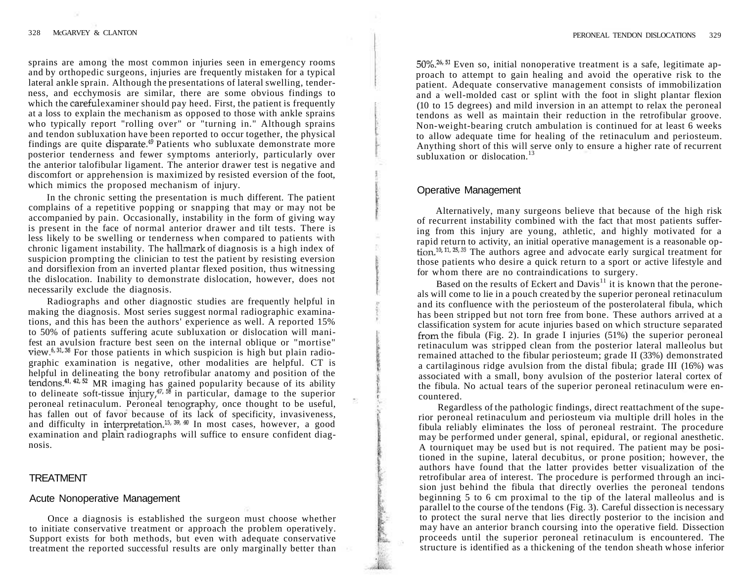sprains are among the most common injuries seen in emergency rooms and by orthopedic surgeons, injuries are frequently mistaken for a typical lateral ankle sprain. Although the presentations of lateral swelling, tenderness, and ecchymosis are similar, there are some obvious findings to which the careful examiner should pay heed. First, the patient is frequently at a loss to explain the mechanism as opposed to those with ankle sprains who typically report "rolling over" or "turning in." Although sprains and tendon subluxation have been reported to occur together, the physical findings are quite disparate.<sup>49</sup> Patients who subluxate demonstrate more posterior tenderness and fewer symptoms anteriorly, particularly over the anterior talofibular ligament. The anterior drawer test is negative and discomfort or apprehension is maximized by resisted eversion of the foot, which mimics the proposed mechanism of injury.

In the chronic setting the presentation is much different. The patient complains of a repetitive popping or snapping that may or may not be accompanied by pain. Occasionally, instability in the form of giving way is present in the face of normal anterior drawer and tilt tests. There is less likely to be swelling or tenderness when compared to patients with chronic ligament instability. The hallmark of diagnosis is a high index of suspicion prompting the clinician to test the patient by resisting eversion and dorsiflexion from an inverted plantar flexed position, thus witnessing the dislocation. Inability to demonstrate dislocation, however, does not necessarily exclude the diagnosis.

Radiographs and other diagnostic studies are frequently helpful in making the diagnosis. Most series suggest normal radiographic examinations, and this has been the authors' experience as well. A reported 15% to 50% of patients suffering acute subluxation or dislocation will manifest an avulsion fracture best seen on the internal oblique or "mortise" view.<sup>6, 31, 38</sup> For those patients in which suspicion is high but plain radio graphic examination is negative, other modalities are helpful. CT is helpful in delineating the bony retrofibular anatomy and position of the tendons.<sup>41, 42, 52</sup> MR imaging has gained popularity because of its ability to delineate soft-tissue injury,<sup> $47, 58$ </sup> in particular, damage to the superior peroneal retinaculum. Peroneal tenography, once thought to be useful, has fallen out of favor because of its lack of specificity, invasiveness, and difficulty in interpretation.<sup>15, 39, 40</sup> In most cases, however, a good examination and plain radiographs will suffice to ensure confident diagnosis.

# TREATMENT

## Acute Nonoperative Management

Once a diagnosis is established the surgeon must choose whether to initiate conservative treatment or approach the problem operatively. Support exists for both methods, but even with adequate conservative treatment the reported successful results are only marginally better than

50%.<sup>26</sup>' 51 Even so, initial nonoperative treatment is a safe, legitimate approach to attempt to gain healing and avoid the operative risk to the patient. Adequate conservative management consists of immobilization and a well-molded cast or splint with the foot in slight plantar flexion (10 to 15 degrees) and mild inversion in an attempt to relax the peroneal tendons as well as maintain their reduction in the retrofibular groove. Non-weight-bearing crutch ambulation is continued for at least 6 weeks to allow adequate time for healing of the retinaculum and periosteum. Anything short of this will serve only to ensure a higher rate of recurrent subluxation or dislocation. $13$ 

# Operative Management

Alternatively, many surgeons believe that because of the high risk of recurrent instability combined with the fact that most patients suffering from this injury are young, athletic, and highly motivated for a rapid return to activity, an initial operative management is a reasonable option.<sup>10, 11, 25, 33</sup> The authors agree and advocate early surgical treatment for those patients who desire a quick return to a sport or active lifestyle and for whom there are no contraindications to surgery.

Based on the results of Eckert and Davis<sup>11</sup> it is known that the peroneals will come to lie in a pouch created by the superior peroneal retinaculum and its confluence with the periosteum of the posterolateral fibula, which has been stripped but not torn free from bone. These authors arrived at a classification system for acute injuries based on which structure separated from the fibula (Fig. 2). In grade I injuries (51%) the superior peroneal retinaculum was stripped clean from the posterior lateral malleolus but remained attached to the fibular periosteum; grade II (33%) demonstrated a cartilaginous ridge avulsion from the distal fibula; grade III (16%) was associated with a small, bony avulsion of the posterior lateral cortex of the fibula. No actual tears of the superior peroneal retinaculum were encountered.

Regardless of the pathologic findings, direct reattachment of the superior peroneal retinaculum and periosteum via multiple drill holes in the fibula reliably eliminates the loss of peroneal restraint. The procedure may be performed under general, spinal, epidural, or regional anesthetic. A tourniquet may be used but is not required. The patient may be positioned in the supine, lateral decubitus, or prone position; however, the authors have found that the latter provides better visualization of the retrofibular area of interest. The procedure is performed through an incision just behind the fibula that directly overlies the peroneal tendons beginning 5 to 6 cm proximal to the tip of the lateral malleolus and is parallel to the course of the tendons (Fig. 3). Careful dissection is necessary to protect the sural nerve that lies directly posterior to the incision and may have an anterior branch coursing into the operative field. Dissection proceeds until the superior peroneal retinaculum is encountered. The structure is identified as a thickening of the tendon sheath whose inferior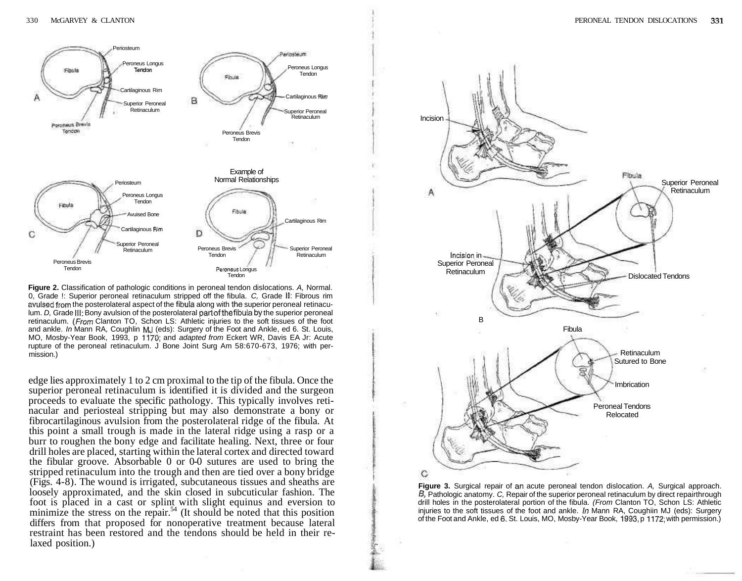

**Figure 2.** Classification of pathologic conditions in peroneal tendon dislocations. A, Normal. 0, Grade !: Superior peroneal retinaculum stripped off the fibula. C, Grade **II:** Fibrous rim avuised from the posterolateral aspect of the fibula along with the superior peroneal retinaculum. D, Grade **III:** Bony avulsion of the posterolateral part of the fibula by the superior peroneal retinaculum. (From Clanton TO, Schon LS: Athletic injuries to the soft tissues of the foot and ankle. In Mann RA, Coughlin MJ (eds): Surgery of the Foot and Ankle, ed 6. St. Louis, MO, Mosby-Year Book, 1993, p 1170; and adapted from Eckert WR, Davis EA Jr: Acute rupture of the peroneal retinaculum. J Bone Joint Surg Am 58:670-673, 1976; with permission.)

edge lies approximately 1 to 2 cm proximal to the tip of the fibula. Once the superior peroneal retinaculum is identified it is divided and the surgeon proceeds to evaluate the specific pathology. This typically involves retinacular and periosteal stripping but may also demonstrate a bony or fibrocartilaginous avulsion from the posterolateral ridge of the fibula. At this point a small trough is made in the lateral ridge using a rasp or a burr to roughen the bony edge and facilitate healing. Next, three or four drill holes are placed, starting within the lateral cortex and directed toward the fibular groove. Absorbable 0 or 0-0 sutures are used to bring the stripped retinaculum into the trough and then are tied over a bony bridge (Figs. 4-8). The wound is irrigated, subcutaneous tissues and sheaths are loosely approximated, and the skin closed in subcuticular fashion. The foot is placed in a cast or splint with slight equinus and eversion to minimize the stress on the repair.<sup>54</sup> (It should be noted that this position differs from that proposed for nonoperative treatment because lateral restraint has been restored and the tendons should be held in their relaxed position.)



**Figure 3.** Surgical repair of an acute peroneal tendon dislocation. A, Surgical approach. B, Pathologic anatomy. C, Repair of the superior peroneal retinaculum by direct repairthrough drill holes in the posterolateral portion of the fibula. (From Clanton TO, Schon LS: Athletic injuries to the soft tissues of the foot and ankle. In Mann RA, Coughiin MJ (eds): Surgery of the Foot and Ankle, ed 6, St. Louis, MO, Mosby-Year Book, 1993, p 1172; with permission.)

:'f"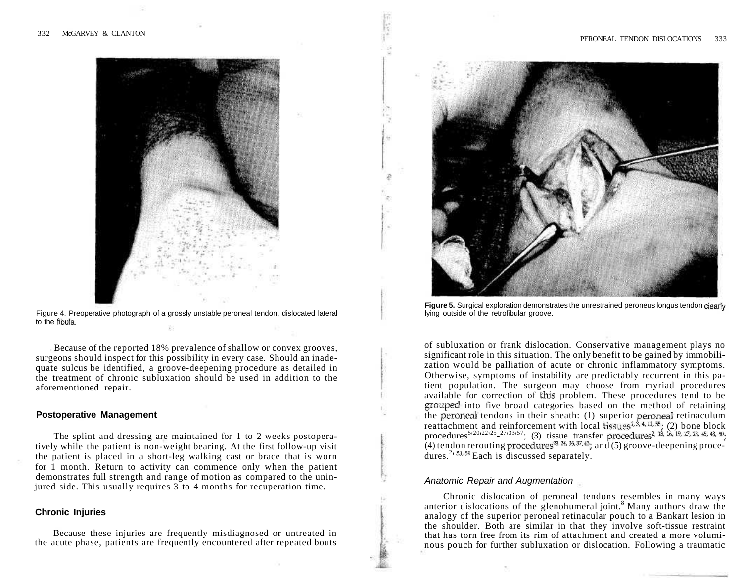

Figure 4. Preoperative photograph of a grossly unstable peroneal tendon, dislocated lateral to the fibula.

Because of the reported 18% prevalence of shallow or convex grooves, surgeons should inspect for this possibility in every case. Should an inadequate sulcus be identified, a groove-deepening procedure as detailed in the treatment of chronic subluxation should be used in addition to the aforementioned repair.

### **Postoperative Management**

The splint and dressing are maintained for 1 to 2 weeks postoperatively while the patient is non-weight bearing. At the first follow-up visit the patient is placed in a short-leg walking cast or brace that is worn for 1 month. Return to activity can commence only when the patient demonstrates full strength and range of motion as compared to the uninjured side. This usually requires 3 to 4 months for recuperation time.

## **Chronic Injuries**

Because these injuries are frequently misdiagnosed or untreated in the acute phase, patients are frequently encountered after repeated bouts



Figure 5. Surgical exploration demonstrates the unrestrained peroneus longus tendon clearly lying outside of the retrofibular groove.

of subluxation or frank dislocation. Conservative management plays no significant role in this situation. The only benefit to be gained by immobilization would be palliation of acute or chronic inflammatory symptoms. Otherwise, symptoms of instability are predictably recurrent in this patient population. The surgeon may choose from myriad procedures available for correction of this problem. These procedures tend to be grouped into five broad categories based on the method of retaining the peroneal tendons in their sheath: (1) superior peroneal retinaculum reattachment and reinforcement with local tissues<sup>1,  $\frac{1}{3}$ ,  $\frac{4}{3}$ ,  $\frac{11}{3}$ ,  $\frac{55}{3}$ ; (2) bone block</sup> procedures<sup>5,20,22,25</sup> <sup>27,33,57</sup>; (3) tissue transfer procedures<sup>2, 13, 16, 19, 27, 28, 45, 48, 50<sub>;</sub></sup> (4) tendon rerouting procedures<sup>23, 24, 36, 37, 43</sup>; and (5) groove-deepening procedures.<sup>2</sup><sup>53, 59</sup> Each is discussed separately.

#### Anatomic Repair and Augmentation

Chronic dislocation of peroneal tendons resembles in many ways anterior dislocations of the glenohumeral joint.<sup>8</sup> Many authors draw the analogy of the superior peroneal retinacular pouch to a Bankart lesion in the shoulder. Both are similar in that they involve soft-tissue restraint that has torn free from its rim of attachment and created a more voluminous pouch for further subluxation or dislocation. Following a traumatic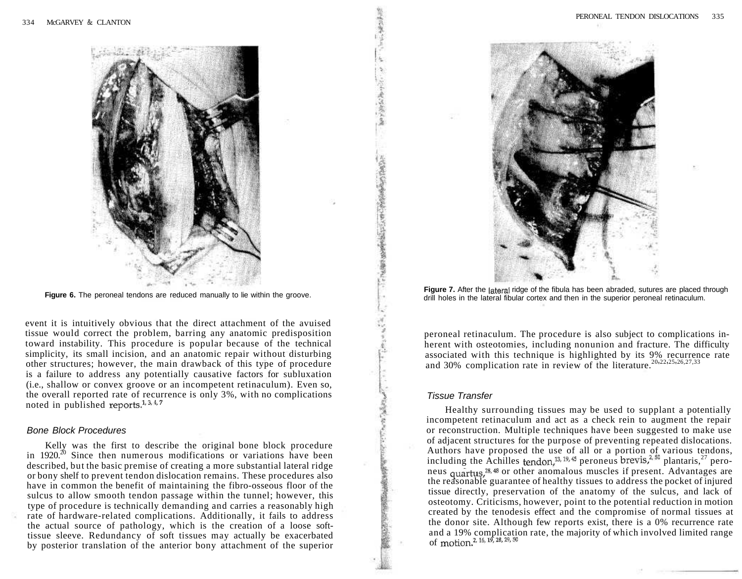

**Figure 6.** The peroneal tendons are reduced manually to lie within the groove.

event it is intuitively obvious that the direct attachment of the avuised tissue would correct the problem, barring any anatomic predisposition toward instability. This procedure is popular because of the technical simplicity, its small incision, and an anatomic repair without disturbing other structures; however, the main drawback of this type of procedure is a failure to address any potentially causative factors for subluxation (i.e., shallow or convex groove or an incompetent retinaculum). Even so, the overall reported rate of recurrence is only 3%, with no complications noted in published reports.<sup>1, 3, 4, 7</sup>

#### Bone Block Procedures

Kelly was the first to describe the original bone block procedure in 1920.<sup>20</sup> Since then numerous modifications or variations have been described, but the basic premise of creating a more substantial lateral ridge or bony shelf to prevent tendon dislocation remains. These procedures also have in common the benefit of maintaining the fibro-osseous floor of the sulcus to allow smooth tendon passage within the tunnel; however, this type of procedure is technically demanding and carries a reasonably high rate of hardware-related complications. Additionally, it fails to address the actual source of pathology, which is the creation of a loose softtissue sleeve. Redundancy of soft tissues may actually be exacerbated by posterior translation of the anterior bony attachment of the superior



Figure 7. After the lateral ridge of the fibula has been abraded, sutures are placed through drill holes in the lateral fibular cortex and then in the superior peroneal retinaculum.

peroneal retinaculum. The procedure is also subject to complications inherent with osteotomies, including nonunion and fracture. The difficulty associated with this technique is highlighted by its 9% recurrence rate and 30% complication rate in review of the literature.<sup>20,22,25,26,27,33</sup>

## Tissue Transfer

**INTERNATIONAL STATE** 

「大学のことのあるのであるのである」という

Healthy surrounding tissues may be used to supplant a potentially incompetent retinaculum and act as a check rein to augment the repair or reconstruction. Multiple techniques have been suggested to make use of adjacent structures for the purpose of preventing repeated dislocations. Authors have proposed the use of all or a portion of various tendons, including the Achilles tendon,<sup>13, 19, 45</sup> peroneus brevis,<sup>2, 50</sup> plantaris,<sup>27</sup> peroneus quartus,<sup>28, 48</sup> or other anomalous muscles if present. Advantages are the reasonable guarantee of healthy tissues to address the pocket of injured tissue directly, preservation of the anatomy of the sulcus, and lack of osteotomy. Criticisms, however, point to the potential reduction in motion created by the tenodesis effect and the compromise of normal tissues at the donor site. Although few reports exist, there is a 0% recurrence rate and a 19% complication rate, the majority of which involved limited range of motion.<sup>2, 16, 19,</sup> 28, 29, 50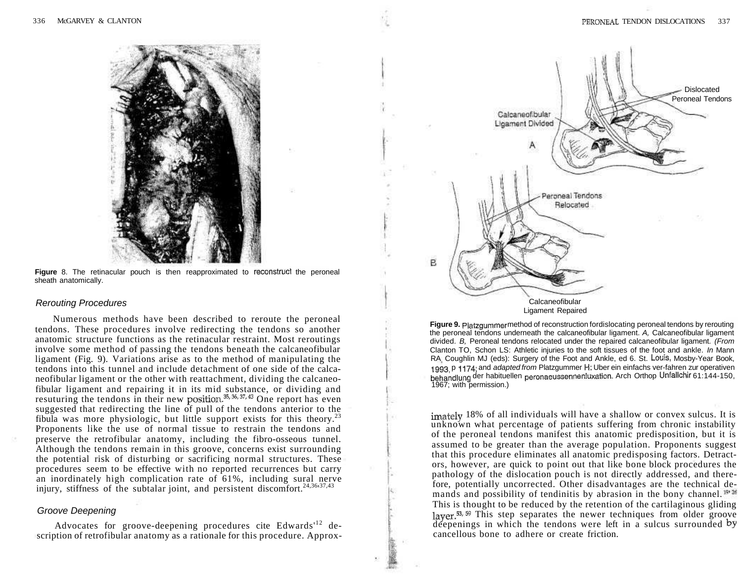

**Figure** 8. The retinacular pouch is then reapproximated to reconstruct the peroneal sheath anatomically.

#### Rerouting Procedures

Numerous methods have been described to reroute the peroneal tendons. These procedures involve redirecting the tendons so another anatomic structure functions as the retinacular restraint. Most reroutings involve some method of passing the tendons beneath the calcaneofibular ligament (Fig. 9). Variations arise as to the method of manipulating the tendons into this tunnel and include detachment of one side of the calcaneofibular ligament or the other with reattachment, dividing the calcaneofibular ligament and repairing it in its mid substance, or dividing and resuturing the tendons in their new position.<sup>35, 35, 37, 43</sup> One report has even suggested that redirecting the line of pull of the tendons anterior to the fibula was more physiologic, but little support exists for this theory.<sup>23</sup> Proponents like the use of normal tissue to restrain the tendons and preserve the retrofibular anatomy, including the fibro-osseous tunnel. Although the tendons remain in this groove, concerns exist surrounding the potential risk of disturbing or sacrificing normal structures. These procedures seem to be effective with no reported recurrences but carry an inordinately high complication rate of 61%, including sural nerve injury, stiffness of the subtalar joint, and persistent discomfort.<sup>24,36,37,43</sup>

## Groove Deepening

Advocates for groove-deepening procedures cite Edwards<sup>12</sup> description of retrofibular anatomy as a rationale for this procedure. Approx-



**Figure 9.** Platzgummer method of reconstruction for dislocating peroneal tendons by rerouting the peroneal tendons underneath the calcaneofibular ligament. A, Calcaneofibular ligament divided. B, Peroneal tendons relocated under the repaired calcaneofibular ligament. (From Clanton TO, Schon LS: Athletic injuries to the soft tissues of the foot and ankle. In Mann RA Coughlin MJ (eds): Surgery of the Foot and Ankle, ed 6. St. Louis, Mosby-Year Book, 1993, p 1174; and adapted from Platzgummer H: Uber ein einfachs ver-fahren zur operativen behandlung der habituellen peronaeussennenluxation. Arch Orthop Unfallchir 61:144-150, 1967; with permission.)

imately 18% of all individuals will have a shallow or convex sulcus. It is unknown what percentage of patients suffering from chronic instability of the peroneal tendons manifest this anatomic predisposition, but it is assumed to be greater than the average population. Proponents suggest that this procedure eliminates all anatomic predisposing factors. Detractors, however, are quick to point out that like bone block procedures the pathology of the dislocation pouch is not directly addressed, and therefore, potentially uncorrected. Other disadvantages are the technical demands and possibility of tendinitis by abrasion in the bony channel.  $\mathbb{P}^{\mathfrak{B}}$ This is thought to be reduced by the retention of the cartilaginous gliding layer.<sup>53, 59</sup> This step separates the newer techniques from older groove deepenings in which the tendons were left in a sulcus surrounded by cancellous bone to adhere or create friction.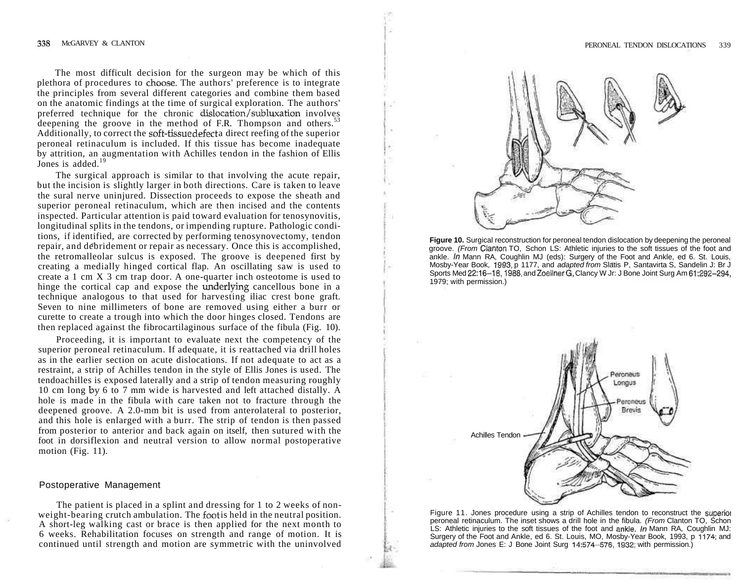The most difficult decision for the surgeon may be which of this plethora of procedures to choose. The authors' preference is to integrate the principles from several different categories and combine them based on the anatomic findings at the time of surgical exploration. The authors' preferred technique for the chronic dislocation/subluxation involves deepening the groove in the method of F.R. Thompson and others.<sup>53</sup> Additionally, to correct the soft-tissue defect a direct reefing of the superior peroneal retinaculum is included. If this tissue has become inadequate by attrition, an augmentation with Achilles tendon in the fashion of Ellis Jones is added.<sup>19</sup>

The surgical approach is similar to that involving the acute repair, but the incision is slightly larger in both directions. Care is taken to leave the sural nerve uninjured. Dissection proceeds to expose the sheath and superior peroneal retinaculum, which are then incised and the contents inspected. Particular attention is paid toward evaluation for tenosynovitis, longitudinal splits in the tendons, or impending rupture. Pathologic conditions, if identified, are corrected by performing tenosynovectomy, tendon repair, and debridement or repair as necessary. Once this is accomplished, the retromalleolar sulcus is exposed. The groove is deepened first by creating a medially hinged cortical flap. An oscillating saw is used to create a 1 cm X 3 cm trap door. A one-quarter inch osteotome is used to hinge the cortical cap and expose the underlying cancellous bone in a technique analogous to that used for harvesting iliac crest bone graft. Seven to nine millimeters of bone are removed using either a burr or curette to create a trough into which the door hinges closed. Tendons are then replaced against the fibrocartilaginous surface of the fibula (Fig. 10).

Proceeding, it is important to evaluate next the competency of the superior peroneal retinaculum. If adequate, it is reattached via drill holes as in the earlier section on acute dislocations. If not adequate to act as a restraint, a strip of Achilles tendon in the style of Ellis Jones is used. The tendoachilles is exposed laterally and a strip of tendon measuring roughly 10 cm long by 6 to 7 mm wide is harvested and left attached distally. A hole is made in the fibula with care taken not to fracture through the deepened groove. A 2.0-mm bit is used from anterolateral to posterior, and this hole is enlarged with a burr. The strip of tendon is then passed from posterior to anterior and back again on itself, then sutured with the foot in dorsiflexion and neutral version to allow normal postoperative motion (Fig. 11).

#### Postoperative Management

The patient is placed in a splint and dressing for 1 to 2 weeks of nonweight-bearing crutch ambulation. The foot is held in the neutral position. A short-leg walking cast or brace is then applied for the next month to 6 weeks. Rehabilitation focuses on strength and range of motion. It is continued until strength and motion are symmetric with the uninvolved



**Figure 10.** Surgical reconstruction for peroneal tendon dislocation by deepening the peroneal groove. (From Cianton TO, Schon LS: Athletic injuries to the soft tissues of the foot and ankle. In Mann RA, Coughlin MJ (eds): Surgery of the Foot and Ankle, ed 6. St. Louis, Mosby-Year Book, 1993, p 1177, and adapted from Slatis P, Santavirta S, Sandelin J: Br J Sports Med 22:16-18,1988, and Zoellner G, Clancy W Jr: J Bone Joint Surg Am 61:292-294, 1979; with permission.)



Figure 11. Jones procedure using a strip of Achilles tendon to reconstruct the superioi peroneal retinaculum. The inset shows a drill hole in the fibula. (From Clanton TO, Schon LS: Athletic injuries to the soft tissues of the foot and ankle. In Mann RA, Coughlin MJ: Surgery of the Foot and Ankle, ed 6. St. Louis, MO, Mosby-Year Book, 1993, p 1174; and adapted from Jones E: J Bone Joint Surg 14:574-576, 1932; with permission.)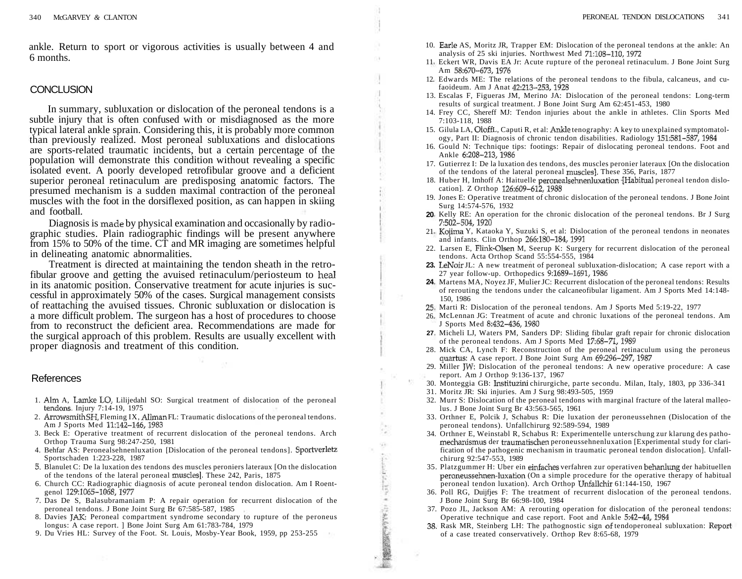ankle. Return to sport or vigorous activities is usually between 4 and 6 months.

# **CONCLUSION**

In summary, subluxation or dislocation of the peroneal tendons is a subtle injury that is often confused with or misdiagnosed as the more typical lateral ankle sprain. Considering this, it is probably more common than previously realized. Most peroneal subluxations and dislocations are sports-related traumatic incidents, but a certain percentage of the population will demonstrate this condition without revealing a specific isolated event. A poorly developed retrofibular groove and a deficient superior peroneal retinaculum are predisposing anatomic factors. The presumed mechanism is a sudden maximal contraction of the peroneal muscles with the foot in the dorsiflexed position, as can happen in skiing and football.

Diagnosis is made by physical examination and occasionally by radiographic studies. Plain radiographic findings will be present anywhere from 15% to 50% of the time. CT and MR imaging are sometimes helpful in delineating anatomic abnormalities.

Treatment is directed at maintaining the tendon sheath in the retrofibular groove and getting the avuised retinaculum/periosteum to heal in its anatomic position. Conservative treatment for acute injuries is successful in approximately 50% of the cases. Surgical management consists of reattaching the avuised tissues. Chronic subluxation or dislocation is a more difficult problem. The surgeon has a host of procedures to choose from to reconstruct the deficient area. Recommendations are made for the surgical approach of this problem. Results are usually excellent with proper diagnosis and treatment of this condition.

## References

- 1. Aim A, Lamke LO, Lilijedahl SO: Surgical treatment of dislocation of the peroneal tendons. Injury 7:14-19, 1975
- 2. Arrowsmith SH, Fleming IX, Allman FL: Traumatic dislocations of the peroneal tendons. Am J Sports Med 11:142-146,1983
- 3. Beck E: Operative treatment of recurrent dislocation of the peroneal tendons. Arch Orthop Trauma Surg 98:247-250, 1981
- 4. Behfar AS: Peronealsehnenluxation [Dislocation of the peroneal tendons]. Sportverletz Sportschaden 1:223-228, 1987
- 5. Blanulet C: De la luxation des tendons des muscles peroniers lateraux [On the dislocation of the tendons of the lateral peroneal muscles]. These 242, Paris, 1875
- 6. Church CC: Radiographic diagnosis of acute peroneal tendon dislocation. Am I Roentgenol 129:1065-1068,1977
- 7. Das De S, Balasubramaniam P: A repair operation for recurrent dislocation of the peroneal tendons. J Bone Joint Surg Br 67:585-587, 1985
- 8. Davies JAK: Peroneal compartment syndrome secondary to rupture of the peroneus longus: A case report. ] Bone Joint Surg Am 61:783-784, 1979
- 9. Du Vries HL: Survey of the Foot. St. Louis, Mosby-Year Book, 1959, pp 253-255
- 10. Earle AS, Moritz JR, Trapper EM: Dislocation of the peroneal tendons at the ankle: An analysis of 25 ski injuries. Northwest Med 71:108-110,1972
- 11 Eckert WR, Davis EA Jr: Acute rupture of the peroneal retinaculum. J Bone Joint Surg Am 58:670-673,1976
- 12. Edwards ME: The relations of the peroneal tendons to the fibula, calcaneus, and cufaoideum. Am J Anat 42:213-253,1928
- 13. Escalas F, Figueras JM, Merino JA: Dislocation of the peroneal tendons: Long-term results of surgical treatment. J Bone Joint Surg Am 62:451-453, 1980
- 14. Frey CC, Shereff MJ: Tendon injuries about the ankle in athletes. Clin Sports Med 7:103-118, 1988
- 15. Gilula LA, OloffL, Caputi R, et al: Ankle tenography: A key to unexplained symptomatology, Part II: Diagnosis of chronic tendon disabilities. Radiology 151:581-587,1984
- 16. Gould N: Technique tips: footings: Repair of dislocating peroneal tendons. Foot and Ankle 6:208-213,1986
- 17. Gutierrez I: De la luxation des tendons, des muscles peronier lateraux [On the dislocation of the tendons of the lateral peroneal muscles]. These 356, Paris, 1877
- 18. Huber H, Imhoff A: Haituelle peronealsehnenluxation -[Habitual peroneal tendon dislocation]. Z Orthop 126:609-612,1988
- 19. Jones E: Operative treatment of chronic dislocation of the peroneal tendons. J Bone Joint Surg 14:574-576, 1932
- 20 Kelly RE: An operation for the chronic dislocation of the peroneal tendons. Br J Surg 7:502-504,1920
- Kojima Y, Kataoka Y, Suzuki S, et al: Dislocation of the peroneal tendons in neonates 21 and infants. Clin Orthop 266:180-184,1991
- 22. Larsen E, Flink-Olsen M, Seerup K: Surgery for recurrent dislocation of the peroneal tendons. Acta Orthop Scand 55:554-555, 1984
- 23. LeNoir JL: A new treatment of peroneal subluxation-dislocation; A case report with a 27 year follow-up. Orthopedics 9:1689-1691,1986
- Martens MA, Noyez JF, Mulier JC: Recurrent dislocation of the peroneal tendons: Results **24**  of rerouting the tendons under the calcaneofibular ligament. Am J Sports Med 14:148- 150, 1986
- 25. Marti R: Dislocation of the peroneal tendons. Am J Sports Med 5:19-22, 1977
- McLennan JG: Treatment of acute and chronic luxations of the peroneal tendons. Am 26. J Sports Med 8:432-436,1980
- Micheli LJ, Waters PM, Sanders DP: Sliding fibular graft repair for chronic dislocation **27** of the peroneal tendons. Am J Sports Med 17:68-71,1989
- 28. Mick CA, Lynch F: Reconstruction of the peroneal retinaculum using the peroneus quartus: A case report. J Bone Joint Surg Am 69:296-297,1987
- 29. Miller JW: Dislocation of the peroneal tendons: A new operative procedure: A case report. Am J Orthop 9:136-137, 1967
- 30. Monteggia GB: Insfituzini chirurgiche, parte secondu. Milan, Italy, 1803, pp 336-341
- 31. Moritz JR: Ski injuries. Am J Surg 98:493-505, 1959

精製製作を行います。

- 32. Murr S: Dislocation of the peroneal tendons with marginal fracture of the lateral malleolus. J Bone Joint Surg Br 43:563-565, 1961
- 33. Orthner E, Polcik J, Schabus R: Die luxation der peroneussehnen (Dislocation of the peroneal tendons). Unfallchirurg 92:589-594, 1989
- 34. Orthner E, Weinstabl R, Schabus R: Experimentelle unterschung zur klarung des pathomechanismus der traumatischen peroneussehnenluxation [Experimental study for clarification of the pathogenic mechanism in traumatic peroneal tendon dislocation]. Unfallchirurg 92:547-553, 1989
- 35. Platzgummer H: Uber ein einfaches verfahren zur operativen behanlung der habituellen peroneussehnen-luxation (On a simple procedure for the operative therapy of habitual peroneal tendon luxation). Arch Orthop Unfallchir 61:144-150, 1967
- 36. Poll RG, Duijfjes F: The treatment of recurrent dislocation of the peroneal tendons. J Bone Joint Surg Br 66:98-100, 1984
- 37. Pozo JL, Jackson AM: A rerouting operation for dislocation of the peroneal tendons: Operative technique and case report. Foot and Ankle 5:42-44,1984
- 38. Rask MR, Steinberg LH: The pathognostic sign of tendoperoneal subluxation: Report of a case treated conservatively. Orthop Rev 8:65-68, 1979